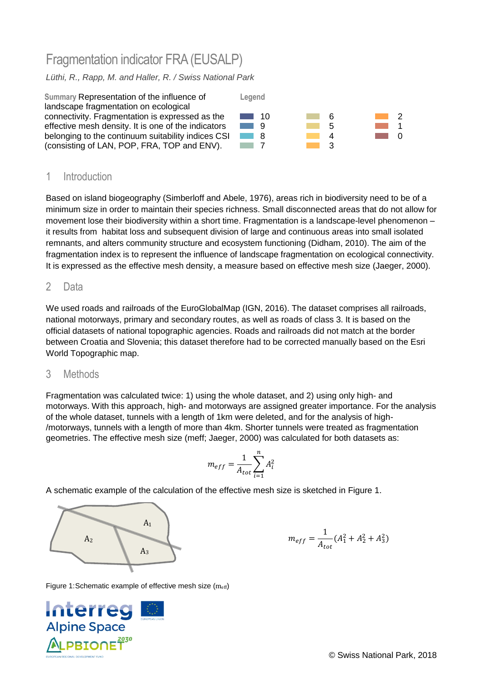# Fragmentation indicator FRA(EUSALP)

*Lüthi, R., Rapp, M. and Haller, R. / Swiss National Park*



## 1 Introduction

Based on island biogeography (Simberloff and Abele, 1976), areas rich in biodiversity need to be of a minimum size in order to maintain their species richness. Small disconnected areas that do not allow for movement lose their biodiversity within a short time. Fragmentation is a landscape-level phenomenon – it results from habitat loss and subsequent division of large and continuous areas into small isolated remnants, and alters community structure and ecosystem functioning (Didham, 2010). The aim of the fragmentation index is to represent the influence of landscape fragmentation on ecological connectivity. It is expressed as the effective mesh density, a measure based on effective mesh size (Jaeger, 2000).

### 2 Data

We used roads and railroads of the EuroGlobalMap (IGN, 2016). The dataset comprises all railroads, national motorways, primary and secondary routes, as well as roads of class 3. It is based on the official datasets of national topographic agencies. Roads and railroads did not match at the border between Croatia and Slovenia; this dataset therefore had to be corrected manually based on the Esri World Topographic map.

#### 3 Methods

Fragmentation was calculated twice: 1) using the whole dataset, and 2) using only high- and motorways. With this approach, high- and motorways are assigned greater importance. For the analysis of the whole dataset, tunnels with a length of 1km were deleted, and for the analysis of high- /motorways, tunnels with a length of more than 4km. Shorter tunnels were treated as fragmentation geometries. The effective mesh size (meff; Jaeger, 2000) was calculated for both datasets as:

$$
m_{eff} = \frac{1}{A_{tot}} \sum_{i=1}^{n} A_i^2
$$

A schematic example of the calculation of the effective mesh size is sketched in [Figure](#page-0-0) 1.



$$
m_{eff}=\frac{1}{A_{tot}}(A_1^2+A_2^2+A_3^2)
$$

<span id="page-0-0"></span>Figure 1:Schematic example of effective mesh size (meff)

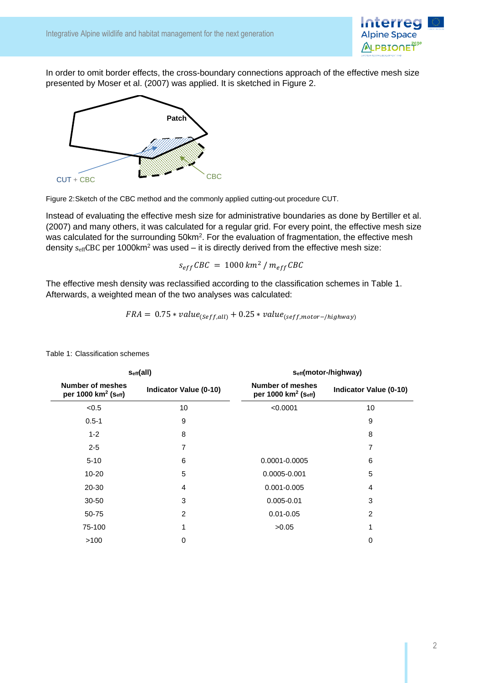

In order to omit border effects, the cross-boundary connections approach of the effective mesh size presented by Moser et al. (2007) was applied. It is sketched in [Figure 2.](#page-1-0)



<span id="page-1-0"></span>Figure 2:Sketch of the CBC method and the commonly applied cutting-out procedure CUT.

Instead of evaluating the effective mesh size for administrative boundaries as done by Bertiller et al. (2007) and many others, it was calculated for a regular grid. For every point, the effective mesh size was calculated for the surrounding 50km<sup>2</sup>. For the evaluation of fragmentation, the effective mesh density  $s_{\text{eff}}$ CBC per 1000km<sup>2</sup> was used – it is directly derived from the effective mesh size:

$$
s_{eff}CBC = 1000 \, km^2 / m_{eff}CBC
$$

The effective mesh density was reclassified according to the classification schemes in [Table 1.](#page-1-1) Afterwards, a weighted mean of the two analyses was calculated:

$$
FRA = 0.75 * value_{(Seff, all)} + 0.25 * value_{(seff, motor - / highway)}
$$

| Seff(all) |                                                     | Seff(motor-/highway)          |                                                     |                               |
|-----------|-----------------------------------------------------|-------------------------------|-----------------------------------------------------|-------------------------------|
|           | Number of meshes<br>per 1000 km <sup>2</sup> (Seff) | <b>Indicator Value (0-10)</b> | Number of meshes<br>per 1000 km <sup>2</sup> (Seff) | <b>Indicator Value (0-10)</b> |
|           | < 0.5                                               | 10                            | < 0.0001                                            | 10                            |
|           | $0.5 - 1$                                           | 9                             |                                                     | 9                             |
|           | $1 - 2$                                             | 8                             |                                                     | 8                             |
|           | $2 - 5$                                             | 7                             |                                                     | 7                             |
|           | $5 - 10$                                            | 6                             | 0.0001-0.0005                                       | 6                             |
|           | $10 - 20$                                           | $\overline{5}$                | 0.0005-0.001                                        | 5                             |
|           | 20-30                                               | 4                             | $0.001 - 0.005$                                     | 4                             |
|           | $30 - 50$                                           | 3                             | $0.005 - 0.01$                                      | 3                             |
|           | 50-75                                               | 2                             | $0.01 - 0.05$                                       | 2                             |
|           | 75-100                                              | 1                             | >0.05                                               | 1                             |
|           | >100                                                | 0                             |                                                     | 0                             |
|           |                                                     |                               |                                                     |                               |

<span id="page-1-1"></span>Table 1: Classification schemes